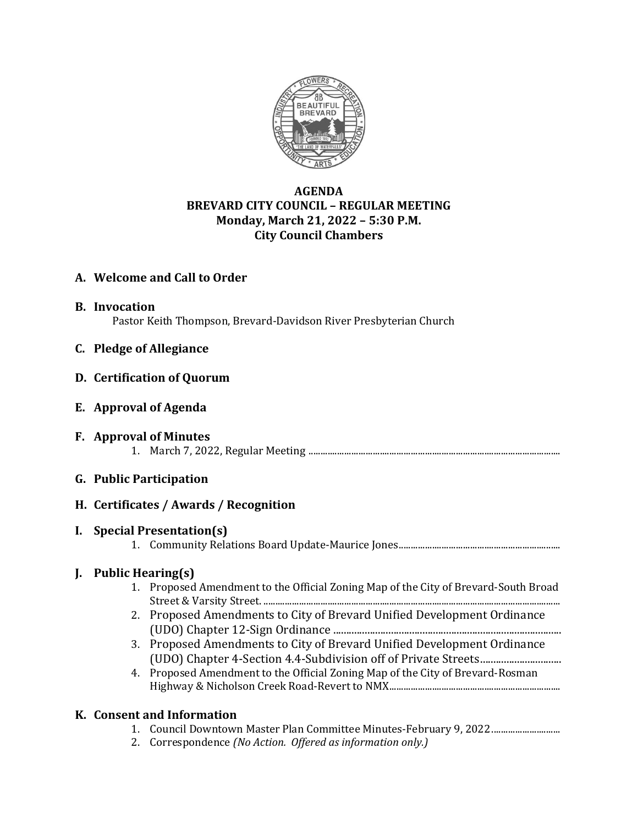

# **AGENDA BREVARD CITY COUNCIL – REGULAR MEETING Monday, March 21, 2022 – 5:30 P.M. City Council Chambers**

# **A. Welcome and Call to Order**

- **B. Invocation** Pastor Keith Thompson, Brevard-Davidson River Presbyterian Church
- **C. Pledge of Allegiance**

### **D. Certification of Quorum**

- **E. Approval of Agenda**
- **F. Approval of Minutes** 1. March 7, 2022, Regular Meeting ..........................................................................................................

# **G. Public Participation**

# **H. Certificates / Awards / Recognition**

#### **I. Special Presentation(s)**

1. Community Relations Board Update-Maurice Jones....................................................................

# **J. Public Hearing(s)**

- 1. Proposed Amendment to the Official Zoning Map of the City of Brevard-South Broad Street & Varsity Street. .............................................................................................................................
- 2. Proposed Amendments to City of Brevard Unified Development Ordinance (UDO) Chapter 12-Sign Ordinance .......................................................................................
- 3. Proposed Amendments to City of Brevard Unified Development Ordinance (UDO) Chapter 4-Section 4.4-Subdivision off of Private Streets...............................
- 4. Proposed Amendment to the Official Zoning Map of the City of Brevard-Rosman Highway & Nicholson Creek Road-Revert to NMX........................................................................

# **K. Consent and Information**

- 1. Council Downtown Master Plan Committee Minutes-February 9, 2022.............................
- 2. Correspondence *(No Action. Offered as information only.)*